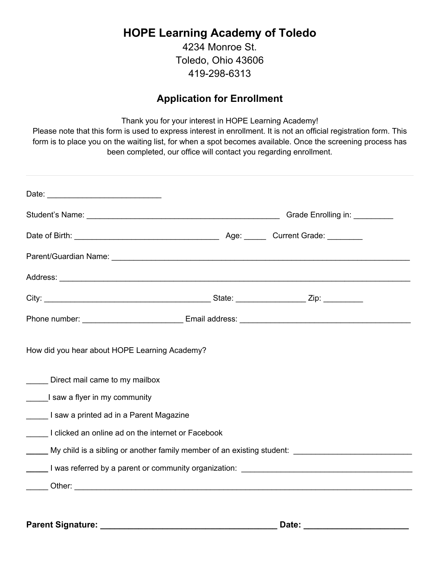## **HOPE Learning Academy of Toledo**

4234 Monroe St. Toledo, Ohio 43606 419-298-6313

## **Application for Enrollment**

Thank you for your interest in HOPE Learning Academy!

Please note that this form is used to express interest in enrollment. It is not an official registration form. This form is to place you on the waiting list, for when a spot becomes available. Once the screening process has been completed, our office will contact you regarding enrollment.

| How did you hear about HOPE Learning Academy?<br>Direct mail came to my mailbox                                                               |  |
|-----------------------------------------------------------------------------------------------------------------------------------------------|--|
| I saw a flyer in my community                                                                                                                 |  |
| I saw a printed ad in a Parent Magazine                                                                                                       |  |
| I clicked an online ad on the internet or Facebook                                                                                            |  |
| My child is a sibling or another family member of an existing student: My child is a sibling or another family member of an existing student: |  |
| Letting I was referred by a parent or community organization: Letting Letting I was referred by a parent or community organization:           |  |
|                                                                                                                                               |  |
|                                                                                                                                               |  |

**Parent Signature: \_\_\_\_\_\_\_\_\_\_\_\_\_\_\_\_\_\_\_\_\_\_\_\_\_\_\_\_\_\_\_\_\_\_\_\_\_ Date: \_\_\_\_\_\_\_\_\_\_\_\_\_\_\_\_\_\_\_\_\_\_**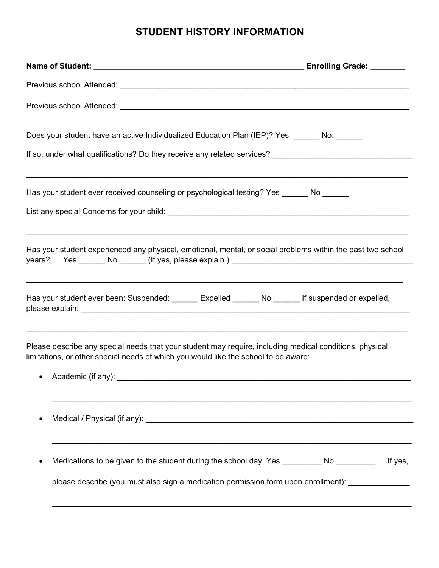## **STUDENT HISTORY INFORMATION**

| Does your student have an active Individualized Education Plan (IEP)? Yes: ______ No: ______                |                                                                                                                                                                                           |
|-------------------------------------------------------------------------------------------------------------|-------------------------------------------------------------------------------------------------------------------------------------------------------------------------------------------|
| Has your student ever received counseling or psychological testing? Yes ______ No ______                    | ,我们也不会有什么。""我们的人,我们也不会有什么?""我们的人,我们也不会有什么?""我们的人,我们也不会有什么?""我们的人,我们也不会有什么?""我们的人                                                                                                          |
|                                                                                                             | Has your student experienced any physical, emotional, mental, or social problems within the past two school                                                                               |
|                                                                                                             | Has your student ever been: Suspended: ______ Expelled ______ No _____ If suspended or expelled,                                                                                          |
| limitations, or other special needs of which you would like the school to be aware:<br>• Academic (if any): | Please describe any special needs that your student may require, including medical conditions, physical                                                                                   |
|                                                                                                             |                                                                                                                                                                                           |
|                                                                                                             | Medications to be given to the student during the school day: Yes _________ No _________<br>If yes,<br>please describe (you must also sign a medication permission form upon enrollment): |